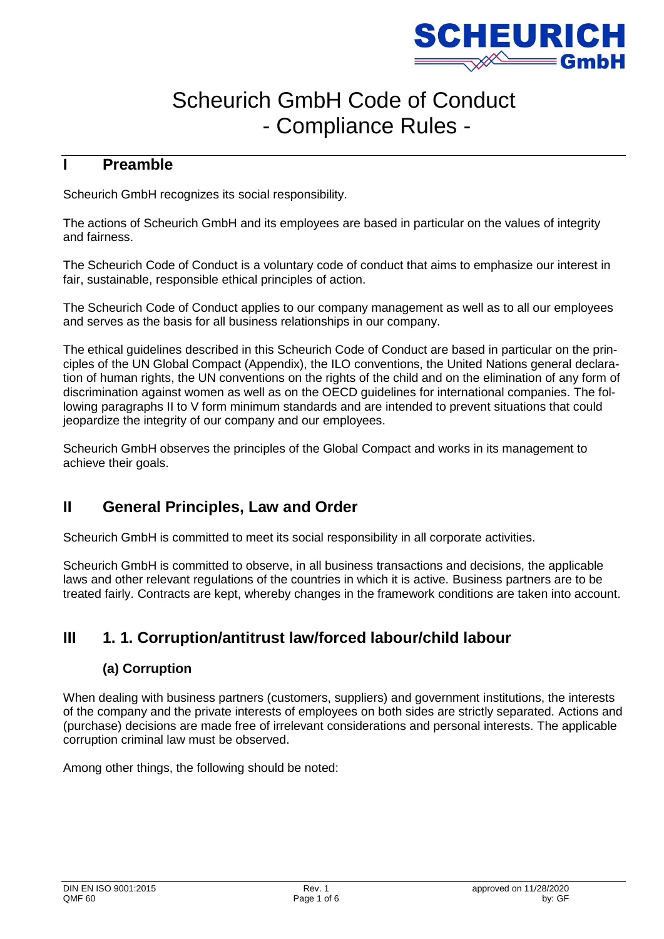

# Scheurich GmbH Code of Conduct - Compliance Rules -

# **I Preamble**

Scheurich GmbH recognizes its social responsibility.

The actions of Scheurich GmbH and its employees are based in particular on the values of integrity and fairness.

The Scheurich Code of Conduct is a voluntary code of conduct that aims to emphasize our interest in fair, sustainable, responsible ethical principles of action.

The Scheurich Code of Conduct applies to our company management as well as to all our employees and serves as the basis for all business relationships in our company.

The ethical guidelines described in this Scheurich Code of Conduct are based in particular on the principles of the UN Global Compact (Appendix), the ILO conventions, the United Nations general declaration of human rights, the UN conventions on the rights of the child and on the elimination of any form of discrimination against women as well as on the OECD guidelines for international companies. The following paragraphs II to V form minimum standards and are intended to prevent situations that could jeopardize the integrity of our company and our employees.

Scheurich GmbH observes the principles of the Global Compact and works in its management to achieve their goals.

# **II General Principles, Law and Order**

Scheurich GmbH is committed to meet its social responsibility in all corporate activities.

Scheurich GmbH is committed to observe, in all business transactions and decisions, the applicable laws and other relevant regulations of the countries in which it is active. Business partners are to be treated fairly. Contracts are kept, whereby changes in the framework conditions are taken into account.

# **III 1. 1. Corruption/antitrust law/forced labour/child labour**

#### **(a) Corruption**

When dealing with business partners (customers, suppliers) and government institutions, the interests of the company and the private interests of employees on both sides are strictly separated. Actions and (purchase) decisions are made free of irrelevant considerations and personal interests. The applicable corruption criminal law must be observed.

Among other things, the following should be noted: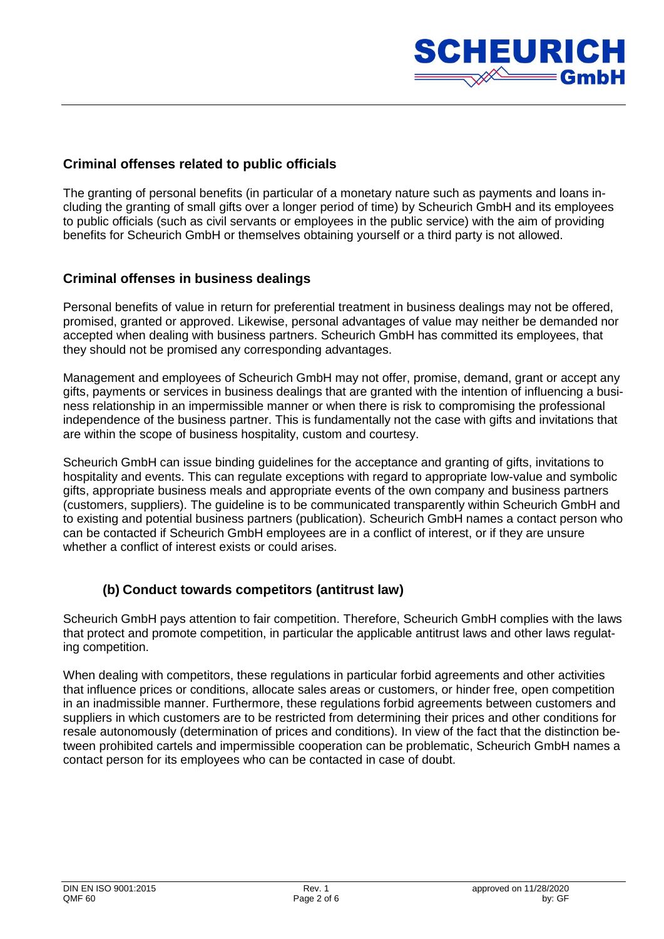

#### **Criminal offenses related to public officials**

The granting of personal benefits (in particular of a monetary nature such as payments and loans including the granting of small gifts over a longer period of time) by Scheurich GmbH and its employees to public officials (such as civil servants or employees in the public service) with the aim of providing benefits for Scheurich GmbH or themselves obtaining yourself or a third party is not allowed.

#### **Criminal offenses in business dealings**

Personal benefits of value in return for preferential treatment in business dealings may not be offered, promised, granted or approved. Likewise, personal advantages of value may neither be demanded nor accepted when dealing with business partners. Scheurich GmbH has committed its employees, that they should not be promised any corresponding advantages.

Management and employees of Scheurich GmbH may not offer, promise, demand, grant or accept any gifts, payments or services in business dealings that are granted with the intention of influencing a business relationship in an impermissible manner or when there is risk to compromising the professional independence of the business partner. This is fundamentally not the case with gifts and invitations that are within the scope of business hospitality, custom and courtesy.

Scheurich GmbH can issue binding guidelines for the acceptance and granting of gifts, invitations to hospitality and events. This can regulate exceptions with regard to appropriate low-value and symbolic gifts, appropriate business meals and appropriate events of the own company and business partners (customers, suppliers). The guideline is to be communicated transparently within Scheurich GmbH and to existing and potential business partners (publication). Scheurich GmbH names a contact person who can be contacted if Scheurich GmbH employees are in a conflict of interest, or if they are unsure whether a conflict of interest exists or could arises.

#### **(b) Conduct towards competitors (antitrust law)**

Scheurich GmbH pays attention to fair competition. Therefore, Scheurich GmbH complies with the laws that protect and promote competition, in particular the applicable antitrust laws and other laws regulating competition.

When dealing with competitors, these regulations in particular forbid agreements and other activities that influence prices or conditions, allocate sales areas or customers, or hinder free, open competition in an inadmissible manner. Furthermore, these regulations forbid agreements between customers and suppliers in which customers are to be restricted from determining their prices and other conditions for resale autonomously (determination of prices and conditions). In view of the fact that the distinction between prohibited cartels and impermissible cooperation can be problematic, Scheurich GmbH names a contact person for its employees who can be contacted in case of doubt.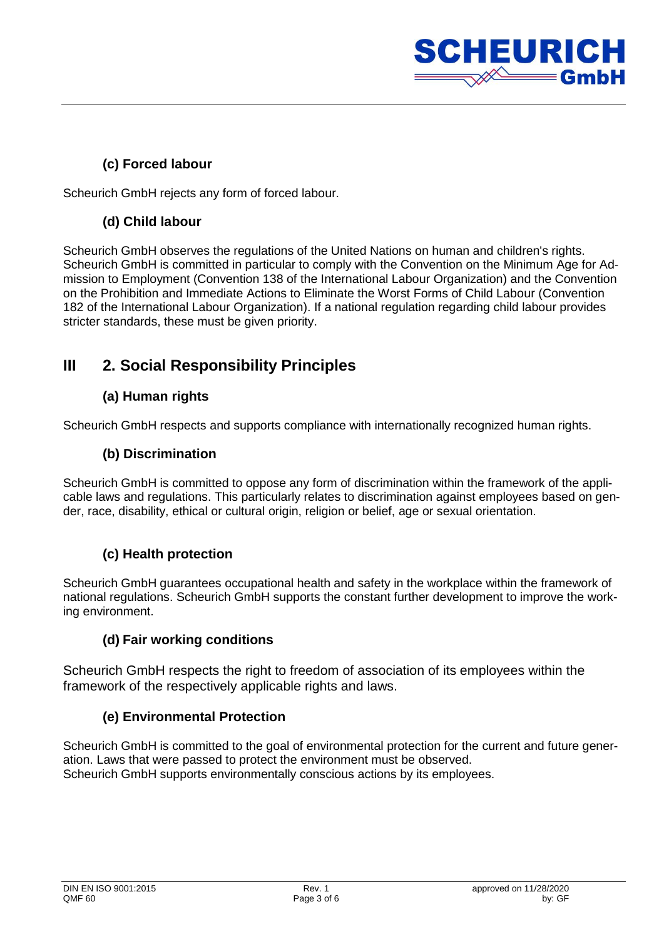

## **(c) Forced labour**

Scheurich GmbH rejects any form of forced labour.

# **(d) Child labour**

Scheurich GmbH observes the regulations of the United Nations on human and children's rights. Scheurich GmbH is committed in particular to comply with the Convention on the Minimum Age for Admission to Employment (Convention 138 of the International Labour Organization) and the Convention on the Prohibition and Immediate Actions to Eliminate the Worst Forms of Child Labour (Convention 182 of the International Labour Organization). If a national regulation regarding child labour provides stricter standards, these must be given priority.

# **III 2. Social Responsibility Principles**

# **(a) Human rights**

Scheurich GmbH respects and supports compliance with internationally recognized human rights.

## **(b) Discrimination**

Scheurich GmbH is committed to oppose any form of discrimination within the framework of the applicable laws and regulations. This particularly relates to discrimination against employees based on gender, race, disability, ethical or cultural origin, religion or belief, age or sexual orientation.

## **(c) Health protection**

Scheurich GmbH guarantees occupational health and safety in the workplace within the framework of national regulations. Scheurich GmbH supports the constant further development to improve the working environment.

#### **(d) Fair working conditions**

Scheurich GmbH respects the right to freedom of association of its employees within the framework of the respectively applicable rights and laws.

## **(e) Environmental Protection**

Scheurich GmbH is committed to the goal of environmental protection for the current and future generation. Laws that were passed to protect the environment must be observed. Scheurich GmbH supports environmentally conscious actions by its employees.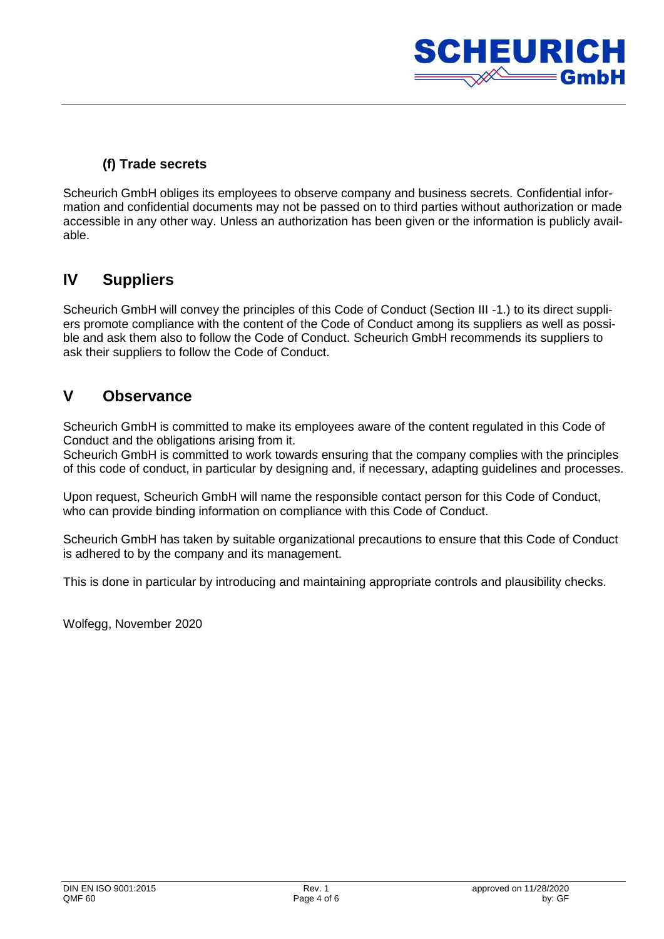

## **(f) Trade secrets**

Scheurich GmbH obliges its employees to observe company and business secrets. Confidential information and confidential documents may not be passed on to third parties without authorization or made accessible in any other way. Unless an authorization has been given or the information is publicly available.

# **IV Suppliers**

Scheurich GmbH will convey the principles of this Code of Conduct (Section III -1.) to its direct suppliers promote compliance with the content of the Code of Conduct among its suppliers as well as possible and ask them also to follow the Code of Conduct. Scheurich GmbH recommends its suppliers to ask their suppliers to follow the Code of Conduct.

# **V Observance**

Scheurich GmbH is committed to make its employees aware of the content regulated in this Code of Conduct and the obligations arising from it.

Scheurich GmbH is committed to work towards ensuring that the company complies with the principles of this code of conduct, in particular by designing and, if necessary, adapting guidelines and processes.

Upon request, Scheurich GmbH will name the responsible contact person for this Code of Conduct, who can provide binding information on compliance with this Code of Conduct.

Scheurich GmbH has taken by suitable organizational precautions to ensure that this Code of Conduct is adhered to by the company and its management.

This is done in particular by introducing and maintaining appropriate controls and plausibility checks.

Wolfegg, November 2020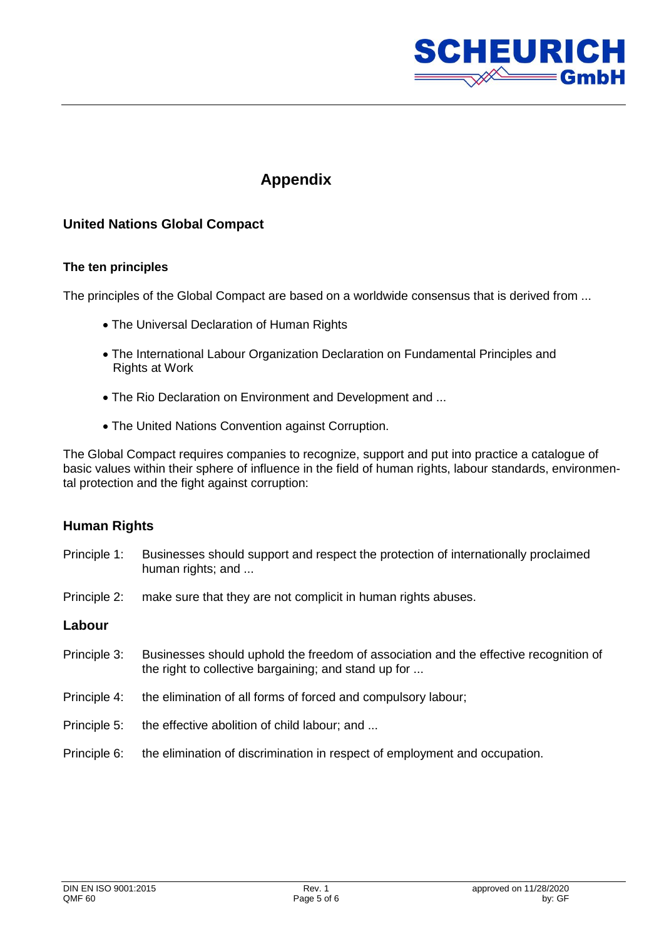

# **Appendix**

## **United Nations Global Compact**

#### **The ten principles**

The principles of the Global Compact are based on a worldwide consensus that is derived from ...

- The Universal Declaration of Human Rights
- The International Labour Organization Declaration on Fundamental Principles and Rights at Work
- The Rio Declaration on Environment and Development and ...
- The United Nations Convention against Corruption.

The Global Compact requires companies to recognize, support and put into practice a catalogue of basic values within their sphere of influence in the field of human rights, labour standards, environmental protection and the fight against corruption:

#### **Human Rights**

- Principle 1: Businesses should support and respect the protection of internationally proclaimed human rights; and ...
- Principle 2: make sure that they are not complicit in human rights abuses.

#### **Labour**

- Principle 3: Businesses should uphold the freedom of association and the effective recognition of the right to collective bargaining; and stand up for ...
- Principle 4: the elimination of all forms of forced and compulsory labour;
- Principle 5: the effective abolition of child labour; and ...
- Principle 6: the elimination of discrimination in respect of employment and occupation.